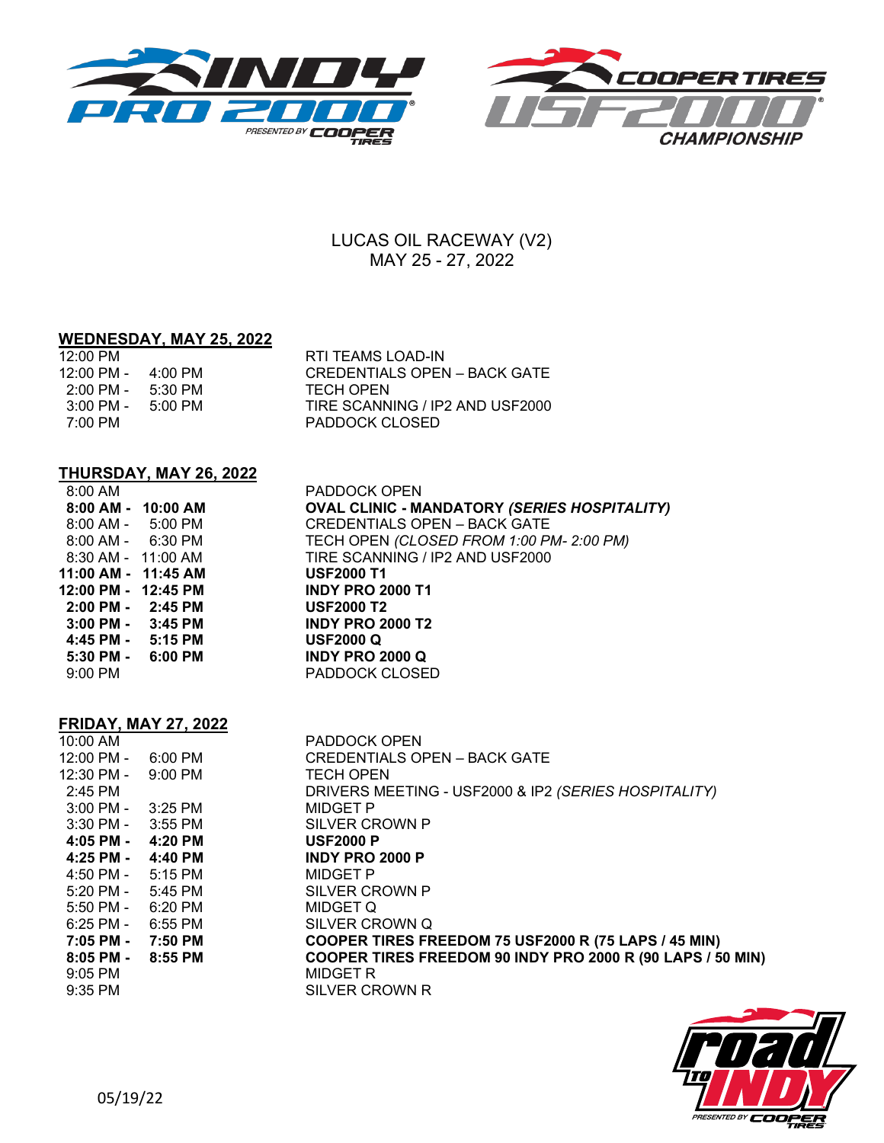



## LUCAS OIL RACEWAY (V2) MAY 25 - 27, 2022

### **WEDNESDAY, MAY 25, 2022**

| 12:00 PM                             |         | RTI TEAMS LOAD-IN               |
|--------------------------------------|---------|---------------------------------|
| $12:00 \text{ PM} - 4:00 \text{ PM}$ |         | CREDENTIALS OPEN – BACK GATE    |
| $2:00 \text{ PM} - 5:30 \text{ PM}$  |         | TECH OPEN                       |
| $3:00 \text{ PM} -$                  | 5:00 PM | TIRE SCANNING / IP2 AND USF2000 |
| 7:00 PM                              |         | PADDOCK CLOSED                  |

# **THURSDAY, MAY 26, 2022**

| 8:00 AM       |            |
|---------------|------------|
| 8:00 AM -     | 10:00 AM   |
| $8:00$ AM -   | $5:00$ PM  |
| $8:00$ AM -   | 6:30 PM    |
| $8:30$ AM -   | $11:00$ AM |
| 11:00 AM -    | 11:45 AM   |
|               |            |
| 12:00 PM -    | 12:45 PM   |
| $2:00$ PM $-$ | 2:45 PM    |
| $3:00$ PM $-$ | $3:45$ PM  |
| 4:45 PM -     | 5:15 PM    |
| 5:30 PM -     | 6:00 PM    |
| $9:00$ PM     |            |

PADDOCK OPEN **8:00 AM - 10:00 AM OVAL CLINIC - MANDATORY** *(SERIES HOSPITALITY)* CREDENTIALS OPEN - BACK GATE 8:00 AM - 6:30 PM TECH OPEN *(CLOSED FROM 1:00 PM- 2:00 PM)* TIRE SCANNING / IP2 AND USF2000 **11:00 AM - 11:45 AM USF2000 T1 12:00 PM - 12:45 PM INDY PRO 2000 T1 USF2000 T2 3:00 PM - 3:45 PM INDY PRO 2000 T2 4:45 PM - 5:15 PM USF2000 Q 5:30 PM - 6:00 PM INDY PRO 2000 Q** PADDOCK CLOSED

#### **FRIDAY, MAY 27, 2022** <u>10:00 AM PADDOCK OPEN</u>

| 10:00 AM                                        |         | PADDOCK OPEN                                                                             |
|-------------------------------------------------|---------|------------------------------------------------------------------------------------------|
| 12:00 PM -                                      | 6:00 PM | <b>CREDENTIALS OPEN - BACK GATE</b>                                                      |
| 12:30 PM -                                      | 9:00 PM | <b>TECH OPEN</b>                                                                         |
| 2:45 PM                                         |         | DRIVERS MEETING - USF2000 & IP2 (SERIES HOSPITALITY)                                     |
| 3:00 PM -                                       | 3:25 PM | MIDGET P                                                                                 |
| 3:30 PM -                                       | 3:55 PM | SILVER CROWN P                                                                           |
| 4:05 PM -                                       | 4:20 PM | <b>USF2000 P</b>                                                                         |
| $4:25$ PM - $4:40$ PM                           |         | <b>INDY PRO 2000 P</b>                                                                   |
| $4:50 \text{ PM} - 5:15 \text{ PM}$             |         | MIDGET P                                                                                 |
| 5:20 PM -                                       | 5:45 PM | SILVER CROWN P                                                                           |
| $5:50 \text{ PM} - 6:20 \text{ PM}$             |         | MIDGET Q                                                                                 |
| $6:25$ PM -                                     | 6:55 PM | SILVER CROWN Q                                                                           |
| 7:05 PM -                                       | 7:50 PM | COOPER TIRES FREEDOM 75 USF2000 R (75 LAPS / 45 MIN)                                     |
| $8:05$ PM - $8:55$ PM<br>$9:05$ PM<br>$9:35$ PM |         | COOPER TIRES FREEDOM 90 INDY PRO 2000 R (90 LAPS / 50 MIN)<br>MIDGET R<br>SILVER CROWN R |
|                                                 |         |                                                                                          |